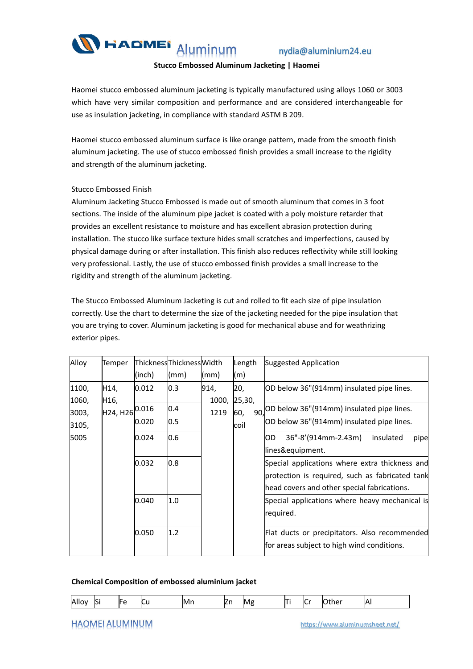

nydia@aluminium24.eu

### **Stucco Embossed Aluminum Jacketing | Haomei**

Haomei stucco embossed aluminum jacketing is typically manufactured using alloys 1060 or 3003 which have very similar composition and performance and are considered interchangeable for use as insulation jacketing, in compliance with standard ASTM B 209.

Haomei stucco embossed aluminum surface is like orange pattern, made from the smooth finish aluminum jacketing. The use of stucco embossed finish provides a small increase to the rigidity and strength of the aluminum jacketing.

### Stucco Embossed Finish

Aluminum Jacketing Stucco Embossed is made out of smooth aluminum that comes in 3 foot sections. The inside of the aluminum pipe jacket is coated with a poly moisture retarder that provides an excellent resistance to moisture and has excellent abrasion protection during installation. The stucco like surface texture hides small scratches and imperfections, caused by physical damage during or after installation. This finish also reduces reflectivity while still looking very professional. Lastly, the use of stucco embossed finish provides a smallincrease to the rigidity and strength of the aluminum jacketing.

The Stucco Embossed Aluminum Jacketing is cut and rolled to fit each size of pipe insulation correctly. Use the chart to determine the size of the jacketing needed for the pipe insulation that you are trying to cover. Aluminum jacketing is good for mechanical abuse and for weathrizing exterior pipes.

| Alloy | Temper            | ThicknessThicknessWidth |      |       | Length      | Suggested Application                                                                                                                            |  |  |  |  |  |
|-------|-------------------|-------------------------|------|-------|-------------|--------------------------------------------------------------------------------------------------------------------------------------------------|--|--|--|--|--|
|       |                   | (inch)                  | (mm) | (mm)  | (m)         |                                                                                                                                                  |  |  |  |  |  |
| 1100, | H14,              | 0.012                   | 0.3  | 914,  | 20,         | OD below 36"(914mm) insulated pipe lines.                                                                                                        |  |  |  |  |  |
| 1060, | H <sub>16</sub> , |                         |      | 1000, | 25,30,      |                                                                                                                                                  |  |  |  |  |  |
| 3003, | H24, H26          | 0.016                   | 0.4  | 1219  | 60,<br>coil | 90, OD below 36" (914mm) insulated pipe lines.                                                                                                   |  |  |  |  |  |
| 3105, |                   | 0.020                   | 0.5  |       |             | OD below 36"(914mm) insulated pipe lines.                                                                                                        |  |  |  |  |  |
| 5005  |                   | 0.024                   | 0.6  |       |             | IOD.<br>$36" - 8' (914mm - 2.43m)$<br>insulated<br>pipe<br>lines&equipment.                                                                      |  |  |  |  |  |
|       |                   | 0.032                   | 0.8  |       |             | Special applications where extra thickness and<br>protection is required, such as fabricated tank<br>head covers and other special fabrications. |  |  |  |  |  |
|       |                   | 0.040                   | 1.0  |       |             | Special applications where heavy mechanical is<br>required.                                                                                      |  |  |  |  |  |
|       |                   | 0.050                   | 1.2  |       |             | Flat ducts or precipitators. Also recommended<br>for areas subject to high wind conditions.                                                      |  |  |  |  |  |

### **Chemical Composition of embossed aluminium jacket**

## **HAOMEI ALUMINUM**